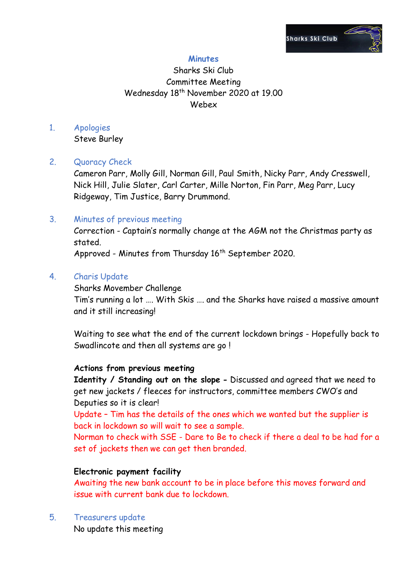

# **Minutes**

# Sharks Ski Club Committee Meeting Wednesday 18<sup>th</sup> November 2020 at 19.00 Webex

# 1. Apologies

Steve Burley

## 2. Quoracy Check

Cameron Parr, Molly Gill, Norman Gill, Paul Smith, Nicky Parr, Andy Cresswell, Nick Hill, Julie Slater, Carl Carter, Mille Norton, Fin Parr, Meg Parr, Lucy Ridgeway, Tim Justice, Barry Drummond.

## 3. Minutes of previous meeting

Correction - Captain's normally change at the AGM not the Christmas party as stated.

Approved - Minutes from Thursday 16<sup>th</sup> September 2020.

## 4. Charis Update

Sharks Movember Challenge

Tim's running a lot …. With Skis …. and the Sharks have raised a massive amount and it still increasing!

Waiting to see what the end of the current lockdown brings - Hopefully back to Swadlincote and then all systems are go !

#### **Actions from previous meeting**

**Identity / Standing out on the slope -** Discussed and agreed that we need to get new jackets / fleeces for instructors, committee members CWO's and Deputies so it is clear!

Update – Tim has the details of the ones which we wanted but the supplier is back in lockdown so will wait to see a sample.

Norman to check with SSE - Dare to Be to check if there a deal to be had for a set of jackets then we can get then branded.

## **Electronic payment facility**

Awaiting the new bank account to be in place before this moves forward and issue with current bank due to lockdown.

5. Treasurers update No update this meeting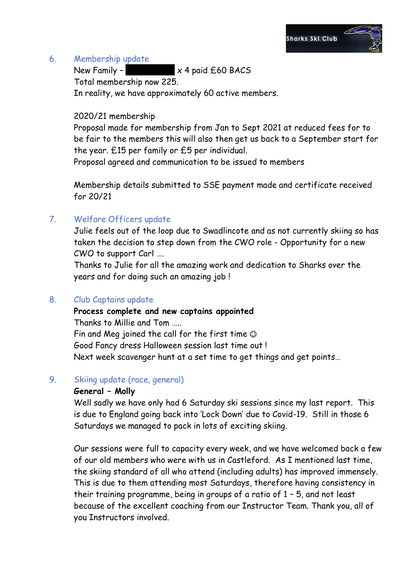

#### 6. Membership update

New Family –  $\times$  4 paid £60 BACS

Total membership now 225.

In reality, we have approximately 60 active members.

#### 2020/21 membership

Proposal made for membership from Jan to Sept 2021 at reduced fees for to be fair to the members this will also then get us back to a September start for the year. £15 per family or £5 per individual.

Proposal agreed and communication to be issued to members

Membership details submitted to SSE payment made and certificate received for 20/21

# 7. Welfare Officers update

Julie feels out of the loop due to Swadlincote and as not currently skiing so has taken the decision to step down from the CWO role - Opportunity for a new CWO to support Carl ….

Thanks to Julie for all the amazing work and dedication to Sharks over the years and for doing such an amazing job !

## 8. Club Captains update

**Process complete and new captains appointed**  Thanks to Millie and Tom ….. Fin and Meg joined the call for the first time Good Fancy dress Halloween session last time out ! Next week scavenger hunt at a set time to get things and get points…

## 9. Skiing update (race, general)

## **General – Molly**

Well sadly we have only had 6 Saturday ski sessions since my last report. This is due to England going back into 'Lock Down' due to Covid-19. Still in those 6 Saturdays we managed to pack in lots of exciting skiing.

Our sessions were full to capacity every week, and we have welcomed back a few of our old members who were with us in Castleford. As I mentioned last time, the skiing standard of all who attend (including adults) has improved immensely. This is due to them attending most Saturdays, therefore having consistency in their training programme, being in groups of a ratio of 1 – 5, and not least because of the excellent coaching from our Instructor Team. Thank you, all of you Instructors involved.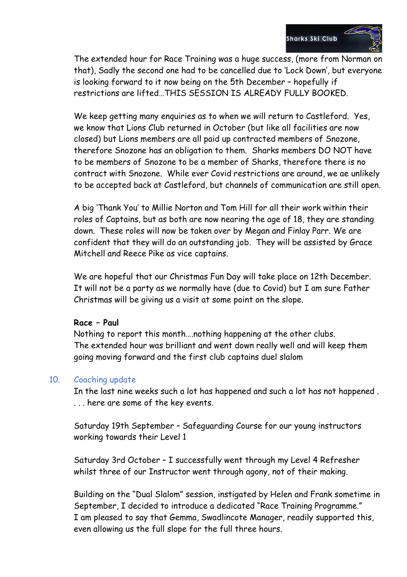

The extended hour for Race Training was a huge success, (more from Norman on that), Sadly the second one had to be cancelled due to 'Lock Down', but everyone is looking forward to it now being on the 5th December – hopefully if restrictions are lifted…THIS SESSION IS ALREADY FULLY BOOKED.

We keep getting many enquiries as to when we will return to Castleford. Yes, we know that Lions Club returned in October (but like all facilities are now closed) but Lions members are all paid up contracted members of Snozone, therefore Snozone has an obligation to them. Sharks members DO NOT have to be members of Snozone to be a member of Sharks, therefore there is no contract with Snozone. While ever Covid restrictions are around, we ae unlikely to be accepted back at Castleford, but channels of communication are still open.

A big 'Thank You' to Millie Norton and Tom Hill for all their work within their roles of Captains, but as both are now nearing the age of 18, they are standing down. These roles will now be taken over by Megan and Finlay Parr. We are confident that they will do an outstanding job. They will be assisted by Grace Mitchell and Reece Pike as vice captains.

We are hopeful that our Christmas Fun Day will take place on 12th December. It will not be a party as we normally have (due to Covid) but I am sure Father Christmas will be giving us a visit at some point on the slope.

#### **Race – Paul**

Nothing to report this month….nothing happening at the other clubs. The extended hour was brilliant and went down really well and will keep them going moving forward and the first club captains duel slalom

#### 10. Coaching update

In the last nine weeks such a lot has happened and such a lot has not happened . . . . here are some of the key events.

Saturday 19th September – Safeguarding Course for our young instructors working towards their Level 1

Saturday 3rd October – I successfully went through my Level 4 Refresher whilst three of our Instructor went through agony, not of their making.

Building on the "Dual Slalom" session, instigated by Helen and Frank sometime in September, I decided to introduce a dedicated "Race Training Programme." I am pleased to say that Gemma, Swadlincote Manager, readily supported this, even allowing us the full slope for the full three hours.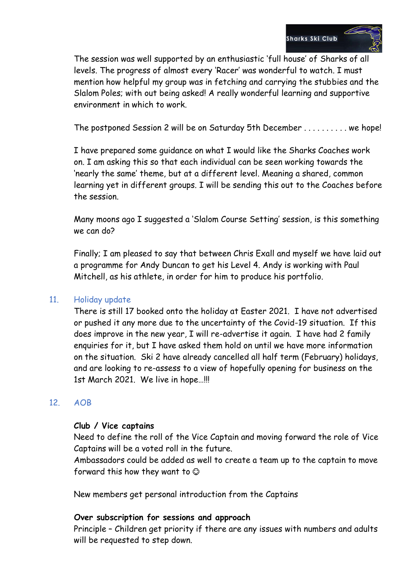

The session was well supported by an enthusiastic 'full house' of Sharks of all levels. The progress of almost every 'Racer' was wonderful to watch. I must mention how helpful my group was in fetching and carrying the stubbies and the Slalom Poles; with out being asked! A really wonderful learning and supportive environment in which to work.

The postponed Session 2 will be on Saturday 5th December . . . . . . . . . . we hope!

I have prepared some guidance on what I would like the Sharks Coaches work on. I am asking this so that each individual can be seen working towards the 'nearly the same' theme, but at a different level. Meaning a shared, common learning yet in different groups. I will be sending this out to the Coaches before the session.

Many moons ago I suggested a 'Slalom Course Setting' session, is this something we can do?

Finally; I am pleased to say that between Chris Exall and myself we have laid out a programme for Andy Duncan to get his Level 4. Andy is working with Paul Mitchell, as his athlete, in order for him to produce his portfolio.

## 11. Holiday update

There is still 17 booked onto the holiday at Easter 2021. I have not advertised or pushed it any more due to the uncertainty of the Covid-19 situation. If this does improve in the new year, I will re-advertise it again. I have had 2 family enquiries for it, but I have asked them hold on until we have more information on the situation. Ski 2 have already cancelled all half term (February) holidays, and are looking to re-assess to a view of hopefully opening for business on the 1st March 2021. We live in hope…!!!

## 12. AOB

#### **Club / Vice captains**

Need to define the roll of the Vice Captain and moving forward the role of Vice Captains will be a voted roll in the future.

Ambassadors could be added as well to create a team up to the captain to move forward this how they want to  $\odot$ 

New members get personal introduction from the Captains

#### **Over subscription for sessions and approach**

Principle – Children get priority if there are any issues with numbers and adults will be requested to step down.